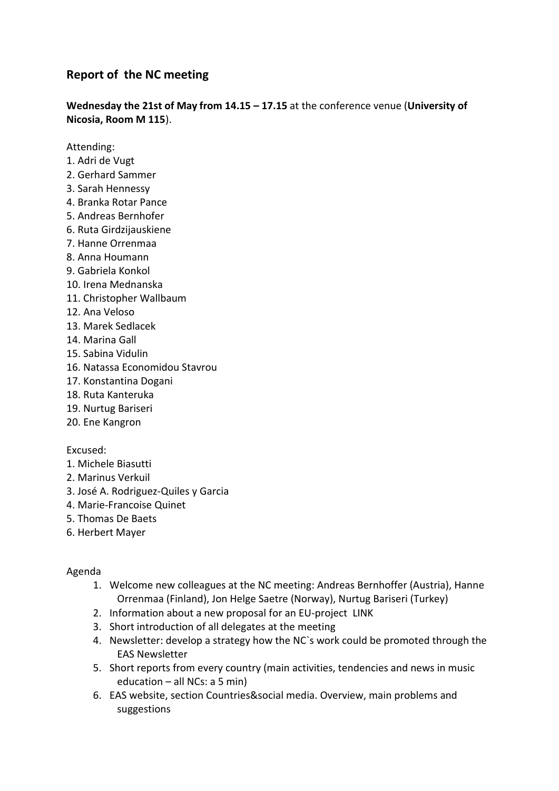# **Report of the NC meeting**

**Wednesday the 21st of May from 14.15 – 17.15** at the conference venue (**University of Nicosia, Room M 115**).

Attending:

- 1. Adri de Vugt
- 2. Gerhard Sammer
- 3. Sarah Hennessy
- 4. Branka Rotar Pance
- 5. Andreas Bernhofer
- 6. Ruta Girdzijauskiene
- 7. Hanne Orrenmaa
- 8. Anna Houmann
- 9. Gabriela Konkol
- 10. Irena Mednanska
- 11. Christopher Wallbaum
- 12. Ana Veloso
- 13. Marek Sedlacek
- 14. Marina Gall
- 15. Sabina Vidulin
- 16. Natassa Economidou Stavrou
- 17. Konstantina Dogani
- 18. Ruta Kanteruka
- 19. Nurtug Bariseri
- 20. Ene Kangron

Excused:

- 1. Michele Biasutti
- 2. Marinus Verkuil
- 3. José A. Rodriguez-Quiles y Garcia
- 4. Marie-Francoise Quinet
- 5. Thomas De Baets
- 6. Herbert Mayer

#### Agenda

- 1. Welcome new colleagues at the NC meeting: Andreas Bernhoffer (Austria), Hanne Orrenmaa (Finland), Jon Helge Saetre (Norway), Nurtug Bariseri (Turkey)
- 2. Information about a new proposal for an EU-project LINK
- 3. Short introduction of all delegates at the meeting
- 4. Newsletter: develop a strategy how the NC`s work could be promoted through the EAS Newsletter
- 5. Short reports from every country (main activities, tendencies and news in music education – all NCs: a 5 min)
- 6. EAS website, section Countries&social media. Overview, main problems and suggestions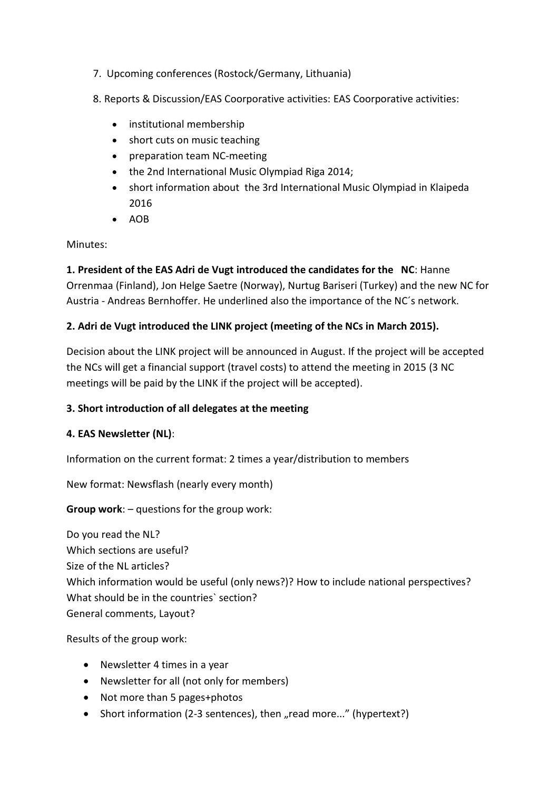- 7. Upcoming conferences (Rostock/Germany, Lithuania)
- 8. Reports & Discussion/EAS Coorporative activities: EAS Coorporative activities:
	- institutional membership
	- short cuts on music teaching
	- preparation team NC-meeting
	- the 2nd International Music Olympiad Riga 2014;
	- short information about the 3rd International Music Olympiad in Klaipeda 2016
	- $\bullet$  AOB

Minutes:

**1. President of the EAS Adri de Vugt introduced the candidates for the NC**: Hanne Orrenmaa (Finland), Jon Helge Saetre (Norway), Nurtug Bariseri (Turkey) and the new NC for Austria - Andreas Bernhoffer. He underlined also the importance of the NC´s network.

## **2. Adri de Vugt introduced the LINK project (meeting of the NCs in March 2015).**

Decision about the LINK project will be announced in August. If the project will be accepted the NCs will get a financial support (travel costs) to attend the meeting in 2015 (3 NC meetings will be paid by the LINK if the project will be accepted).

## **3. Short introduction of all delegates at the meeting**

## **4. EAS Newsletter (NL)**:

Information on the current format: 2 times a year/distribution to members

New format: Newsflash (nearly every month)

**Group work**: – questions for the group work:

Do you read the NL? Which sections are useful? Size of the NL articles? Which information would be useful (only news?)? How to include national perspectives? What should be in the countries` section? General comments, Layout?

Results of the group work:

- Newsletter 4 times in a year
- Newsletter for all (not only for members)
- Not more than 5 pages+photos
- Short information (2-3 sentences), then "read more..." (hypertext?)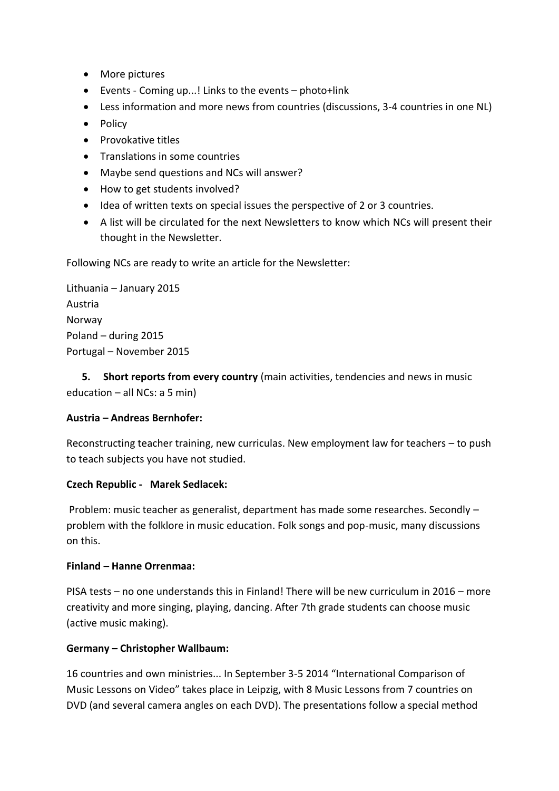- More pictures
- Events Coming up...! Links to the events photo+link
- Less information and more news from countries (discussions, 3-4 countries in one NL)
- Policy
- Provokative titles
- **•** Translations in some countries
- Maybe send questions and NCs will answer?
- How to get students involved?
- Idea of written texts on special issues the perspective of 2 or 3 countries.
- A list will be circulated for the next Newsletters to know which NCs will present their thought in the Newsletter.

Following NCs are ready to write an article for the Newsletter:

Lithuania – January 2015 Austria Norway Poland – during 2015 Portugal – November 2015

 **5. Short reports from every country** (main activities, tendencies and news in music education – all NCs: a 5 min)

### **Austria – Andreas Bernhofer:**

Reconstructing teacher training, new curriculas. New employment law for teachers – to push to teach subjects you have not studied.

### **Czech Republic - Marek Sedlacek:**

Problem: music teacher as generalist, department has made some researches. Secondly – problem with the folklore in music education. Folk songs and pop-music, many discussions on this.

#### **Finland – Hanne Orrenmaa:**

PISA tests – no one understands this in Finland! There will be new curriculum in 2016 – more creativity and more singing, playing, dancing. After 7th grade students can choose music (active music making).

### **Germany – Christopher Wallbaum:**

16 countries and own ministries... In September 3-5 2014 "International Comparison of Music Lessons on Video" takes place in Leipzig, with 8 Music Lessons from 7 countries on DVD (and several camera angles on each DVD). The presentations follow a special method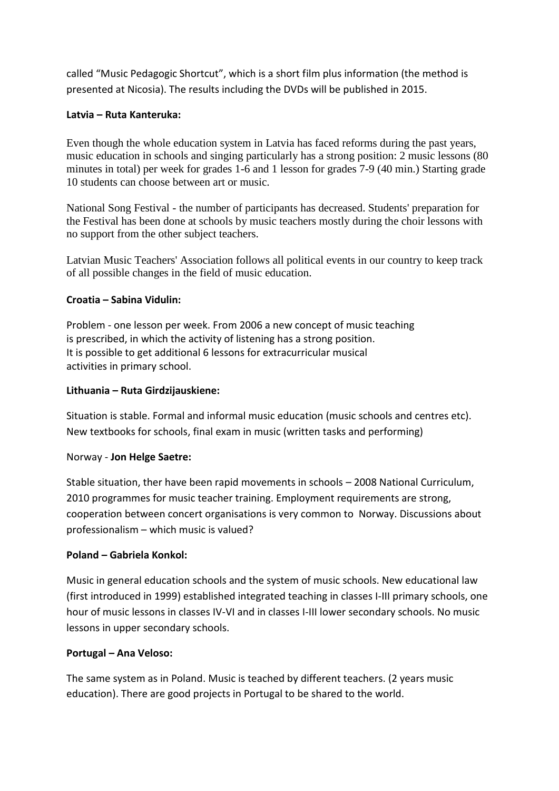called "Music Pedagogic Shortcut", which is a short film plus information (the method is presented at Nicosia). The results including the DVDs will be published in 2015.

## **Latvia – Ruta Kanteruka:**

Even though the whole education system in Latvia has faced reforms during the past years, music education in schools and singing particularly has a strong position: 2 music lessons (80 minutes in total) per week for grades 1-6 and 1 lesson for grades 7-9 (40 min.) Starting grade 10 students can choose between art or music.

National Song Festival - the number of participants has decreased. Students' preparation for the Festival has been done at schools by music teachers mostly during the choir lessons with no support from the other subject teachers.

Latvian Music Teachers' Association follows all political events in our country to keep track of all possible changes in the field of music education.

### **Croatia – Sabina Vidulin:**

Problem - one lesson per week. From 2006 a new concept of music teaching is prescribed, in which the activity of listening has a strong position. It is possible to get additional 6 lessons for extracurricular musical activities in primary school.

## **Lithuania – Ruta Girdzijauskiene:**

Situation is stable. Formal and informal music education (music schools and centres etc). New textbooks for schools, final exam in music (written tasks and performing)

### Norway - **Jon Helge Saetre:**

Stable situation, ther have been rapid movements in schools – 2008 National Curriculum, 2010 programmes for music teacher training. Employment requirements are strong, cooperation between concert organisations is very common to Norway. Discussions about professionalism – which music is valued?

### **Poland – Gabriela Konkol:**

Music in general education schools and the system of music schools. New educational law (first introduced in 1999) established integrated teaching in classes I-III primary schools, one hour of music lessons in classes IV-VI and in classes I-III lower secondary schools. No music lessons in upper secondary schools.

### **Portugal – Ana Veloso:**

The same system as in Poland. Music is teached by different teachers. (2 years music education). There are good projects in Portugal to be shared to the world.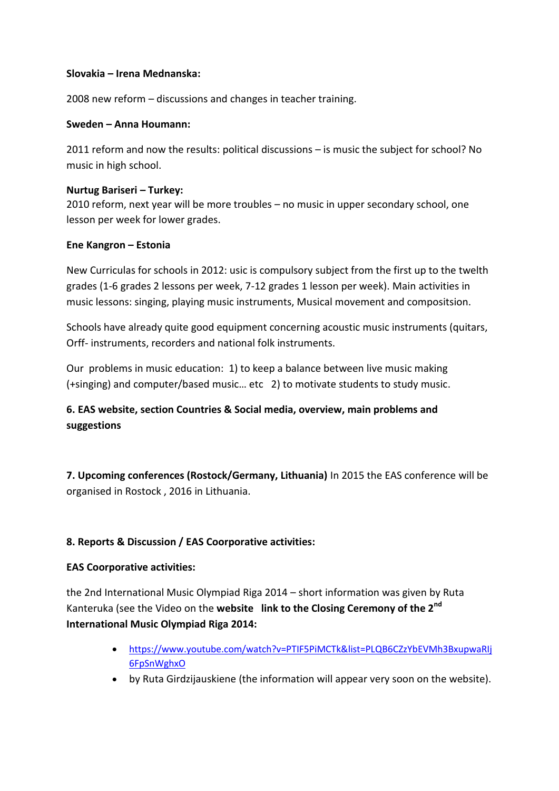#### **Slovakia – Irena Mednanska:**

2008 new reform – discussions and changes in teacher training.

#### **Sweden – Anna Houmann:**

2011 reform and now the results: political discussions – is music the subject for school? No music in high school.

#### **Nurtug Bariseri – Turkey:**

2010 reform, next year will be more troubles – no music in upper secondary school, one lesson per week for lower grades.

### **Ene Kangron – Estonia**

New Curriculas for schools in 2012: usic is compulsory subject from the first up to the twelth grades (1-6 grades 2 lessons per week, 7-12 grades 1 lesson per week). Main activities in music lessons: singing, playing music instruments, Musical movement and compositsion.

Schools have already quite good equipment concerning acoustic music instruments (quitars, Orff- instruments, recorders and national folk instruments.

Our problems in music education: 1) to keep a balance between live music making (+singing) and computer/based music… etc 2) to motivate students to study music.

# **6. EAS website, section Countries & Social media, overview, main problems and suggestions**

**7. Upcoming conferences (Rostock/Germany, Lithuania)** In 2015 the EAS conference will be organised in Rostock , 2016 in Lithuania.

### **8. Reports & Discussion / EAS Coorporative activities:**

### **EAS Coorporative activities:**

the 2nd International Music Olympiad Riga 2014 – short information was given by Ruta Kanteruka (see the Video on the **website link to the Closing Ceremony of the 2nd International Music Olympiad Riga 2014:**

- [https://www.youtube.com/watch?v=PTIF5PiMCTk&list=PLQB6CZzYbEVMh3BxupwaRIj](https://www.youtube.com/watch?v=PTIF5PiMCTk&list=PLQB6CZzYbEVMh3BxupwaRIj6FpSnWghxO) [6FpSnWghxO](https://www.youtube.com/watch?v=PTIF5PiMCTk&list=PLQB6CZzYbEVMh3BxupwaRIj6FpSnWghxO)
- by Ruta Girdzijauskiene (the information will appear very soon on the website).